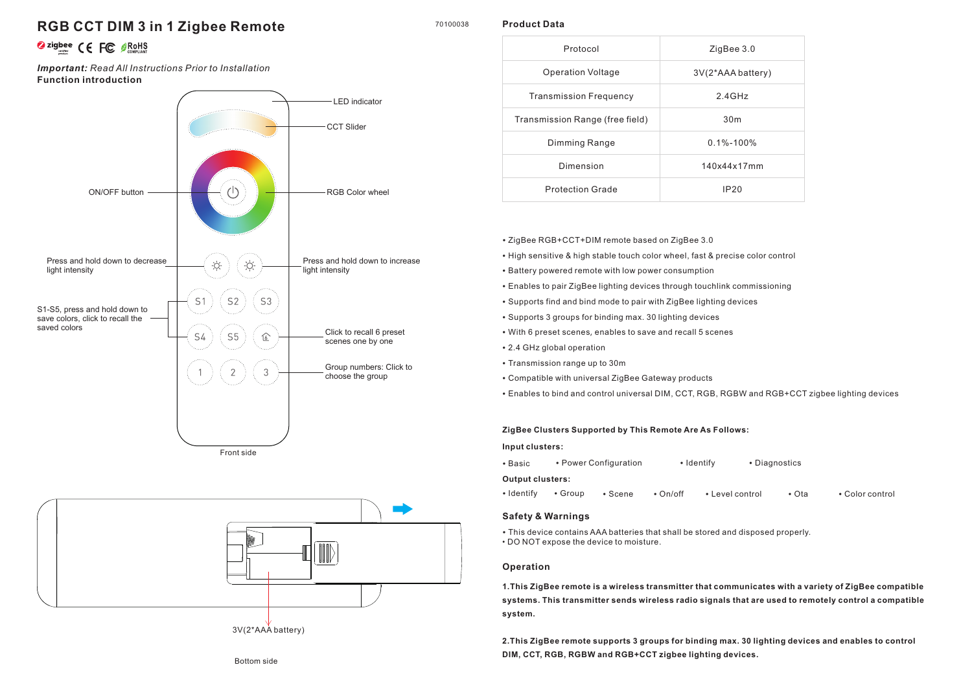## **RGB CCT DIM 3 in 1 Zigbee Remote**

# **O**zigbee CE FC OROHS

**Function introduction** *Important: Read All Instructions Prior to Installation*





3V(2\*AAA battery)

#### 70100038 **Product Data**

| Protocol                        | ZigBee 3.0        |  |
|---------------------------------|-------------------|--|
| <b>Operation Voltage</b>        | 3V(2*AAA battery) |  |
| <b>Transmission Frequency</b>   | $2.4$ GHz         |  |
| Transmission Range (free field) | 30 <sub>m</sub>   |  |
| Dimming Range                   | $0.1\% - 100\%$   |  |
| Dimension                       | 140x44x17mm       |  |
| <b>Protection Grade</b>         | IP20              |  |

- ZigBee RGB+CCT+DIM remote based on ZigBee 3.0
- High sensitive & high stable touch color wheel, fast & precise color control
- Battery powered remote with low power consumption
- Enables to pair ZigBee lighting devices through touchlink commissioning
- Supports find and bind mode to pair with ZigBee lighting devices
- Supports 3 groups for binding max. 30 lighting devices
- With 6 preset scenes, enables to save and recall 5 scenes
- 2.4 GHz global operation
- Transmission range up to 30m
- Compatible with universal ZigBee Gateway products
- Enables to bind and control universal DIM, CCT, RGB, RGBW and RGB+CCT zigbee lighting devices

#### **ZigBee Clusters Supported by This Remote Are As Follows:**

**Input clusters:**

• Basic • Power Configuration • Identify • Diagnostics

#### **Output clusters:**

| • Identify • Group • Scene • On/off • Level control | ∙ Ota | • Color control |
|-----------------------------------------------------|-------|-----------------|
|-----------------------------------------------------|-------|-----------------|

#### **Safety & Warnings**

• This device contains AAA batteries that shall be stored and disposed properly. • DO NOT expose the device to moisture.

#### **Operation**

**1.This ZigBee remote is a wireless transmitter that communicates with a variety of ZigBee compatible systems. This transmitter sends wireless radio signals that are used to remotely control a compatible system.**

**2.This ZigBee remote supports 3 groups for binding max. 30 lighting devices and enables to control DIM, CCT, RGB, RGBW and RGB+CCT zigbee lighting devices.**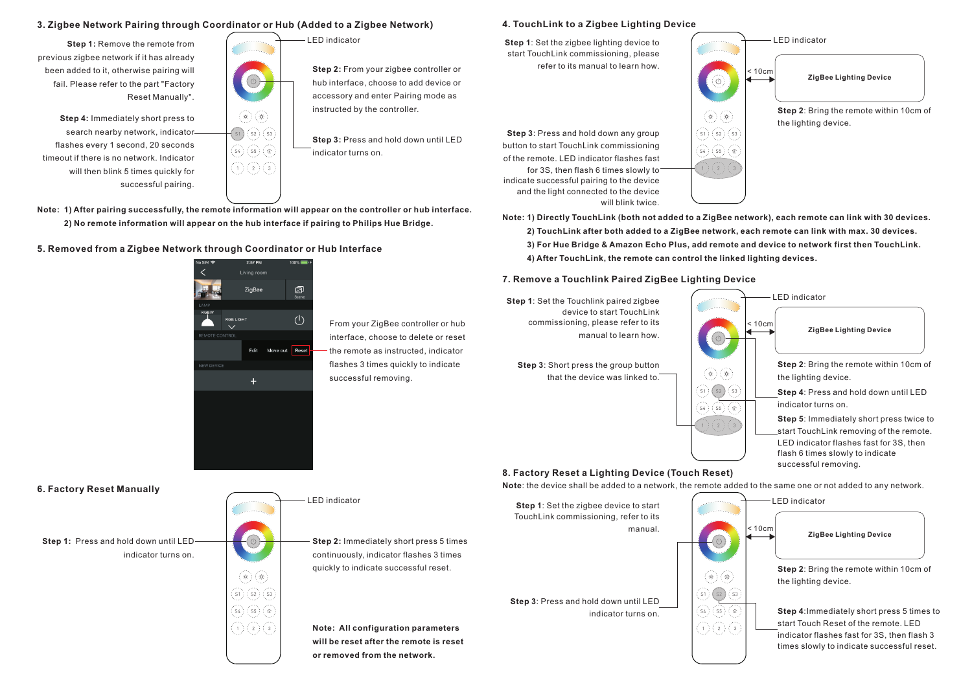#### **3. Zigbee Network Pairing through Coordinator or Hub (Added to a Zigbee Network)**

**Step 1: Remove the remote from** previous zigbee network if it has already been added to it, otherwise pairing will fail. Please refer to the part "Factory Reset Manually".

**Step 4:** Immediately short press to search nearby network, indicator flashes every 1 second, 20 seconds timeout if there is no network. Indicator will then blink 5 times quickly for successful pairing.

![](_page_1_Picture_3.jpeg)

LED indicator

**Step 2:** From your zigbee controller or hub interface, choose to add device or accessory and enter Pairing mode as instructed by the controller.

**Step 3:** Press and hold down until LED indicator turns on.

**Note: 1) After pairing successfully, the remote information will appear on the controller or hub interface. 2) No remote information will appear on the hub interface if pairing to Philips Hue Bridge.**

#### **5. Removed from a Zigbee Network through Coordinator or Hub Interface**

![](_page_1_Picture_9.jpeg)

 $\begin{bmatrix} 54 & 55 \end{bmatrix}$  ( $\begin{bmatrix} 6 \end{bmatrix}$ 오 오 오 From your ZigBee controller or hub interface, choose to delete or reset the remote as instructed, indicator flashes 3 times quickly to indicate successful removing.

#### **4. TouchLink to a Zigbee Lighting Device**

**Step 1**: Set the zigbee lighting device to start TouchLink commissioning, please refer to its manual to learn how.

**Step 3**: Press and hold down any group button to start TouchLink commissioning of the remote. LED indicator flashes fast for 3S, then flash 6 times slowly to indicate successful pairing to the device and the light connected to the device will blink twice.

![](_page_1_Picture_14.jpeg)

**Note: 1) Directly TouchLink (both not added to a ZigBee network), each remote can link with 30 devices. 2) TouchLink after both added to a ZigBee network, each remote can link with max. 30 devices. 3) For Hue Bridge & Amazon Echo Plus, add remote and device to network first then TouchLink. 4) After TouchLink, the remote can control the linked lighting devices.**

#### **7. Remove a Touchlink Paired ZigBee Lighting Device**

![](_page_1_Figure_17.jpeg)

**6. Factory Reset Manually**

**Step 1:** Press and hold down until LED indicator turns on.

#### LED indicator

**Step 2:** Immediately short press 5 times continuously, indicator flashes 3 times quickly to indicate successful reset.

**Note: All configuration parameters will be reset after the remote is reset or removed from the network.**

**Note**: the device shall be added to a network, the remote added to the same one or not added to any network.

**Step 1**: Set the zigbee device to start TouchLink commissioning, refer to its manual. **Step 3**: Press and hold down until LED

![](_page_1_Figure_26.jpeg)

 $\left( \begin{array}{c} 1 \end{array} \right)$   $\left( \begin{array}{c} 2 \end{array} \right)$   $\left( \begin{array}{c} 3 \end{array} \right)$ 

![](_page_1_Picture_27.jpeg)

LED indicator

**Step 2**: Bring the remote within 10cm of the lighting device.

indicator turns on.  $\overline{\hspace{1cm}}$   $\left| \begin{array}{c} \langle s \rangle \langle s \rangle \end{array} \right|$  **Step 4**: Immediately short press 5 times to start Touch Reset of the remote. LED indicator flashes fast for 3S, then flash 3 times slowly to indicate successful reset.